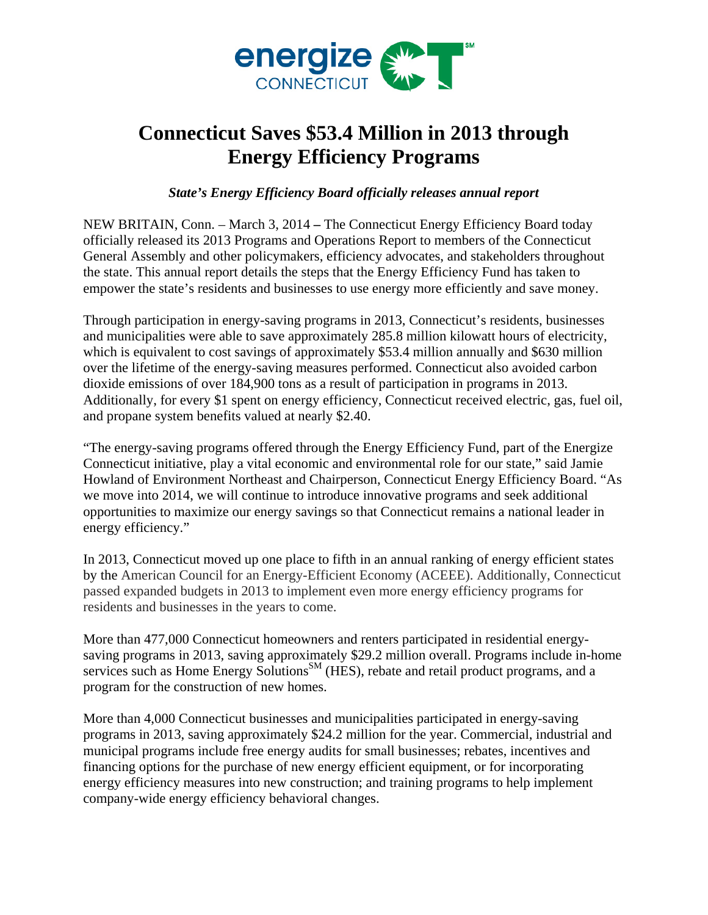

## **Connecticut Saves \$53.4 Million in 2013 through Energy Efficiency Programs**

*State's Energy Efficiency Board officially releases annual report* 

NEW BRITAIN, Conn. – March 3, 2014 **–** The Connecticut Energy Efficiency Board today officially released its 2013 Programs and Operations Report to members of the Connecticut General Assembly and other policymakers, efficiency advocates, and stakeholders throughout the state. This annual report details the steps that the Energy Efficiency Fund has taken to empower the state's residents and businesses to use energy more efficiently and save money.

Through participation in energy-saving programs in 2013, Connecticut's residents, businesses and municipalities were able to save approximately 285.8 million kilowatt hours of electricity, which is equivalent to cost savings of approximately \$53.4 million annually and \$630 million over the lifetime of the energy-saving measures performed. Connecticut also avoided carbon dioxide emissions of over 184,900 tons as a result of participation in programs in 2013. Additionally, for every \$1 spent on energy efficiency, Connecticut received electric, gas, fuel oil, and propane system benefits valued at nearly \$2.40.

"The energy-saving programs offered through the Energy Efficiency Fund, part of the Energize Connecticut initiative, play a vital economic and environmental role for our state," said Jamie Howland of Environment Northeast and Chairperson, Connecticut Energy Efficiency Board. "As we move into 2014, we will continue to introduce innovative programs and seek additional opportunities to maximize our energy savings so that Connecticut remains a national leader in energy efficiency."

In 2013, Connecticut moved up one place to fifth in an annual ranking of energy efficient states by the American Council for an Energy-Efficient Economy (ACEEE). Additionally, Connecticut passed expanded budgets in 2013 to implement even more energy efficiency programs for residents and businesses in the years to come.

More than 477,000 Connecticut homeowners and renters participated in residential energysaving programs in 2013, saving approximately \$29.2 million overall. Programs include in-home services such as Home Energy Solutions<sup>SM</sup> (HES), rebate and retail product programs, and a program for the construction of new homes.

More than 4,000 Connecticut businesses and municipalities participated in energy-saving programs in 2013, saving approximately \$24.2 million for the year. Commercial, industrial and municipal programs include free energy audits for small businesses; rebates, incentives and financing options for the purchase of new energy efficient equipment, or for incorporating energy efficiency measures into new construction; and training programs to help implement company-wide energy efficiency behavioral changes.